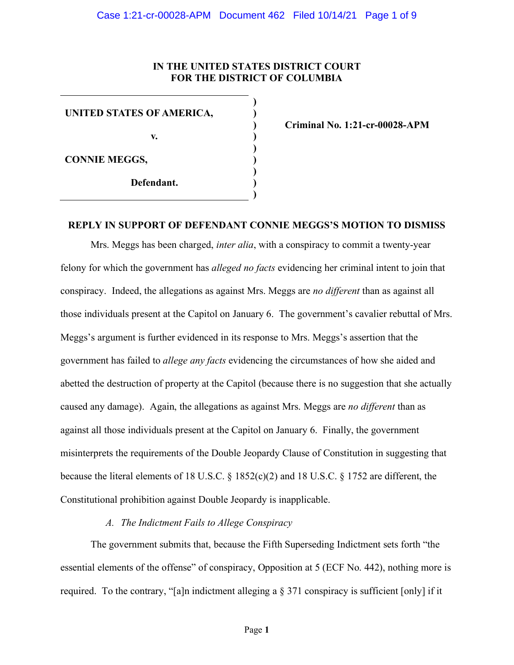### **IN THE UNITED STATES DISTRICT COURT FOR THE DISTRICT OF COLUMBIA**

**UNITED STATES OF AMERICA, v. CONNIE MEGGS, Defendant. ) ) ) ) ) ) ) ) )**

**Criminal No. 1:21-cr-00028-APM**

## **REPLY IN SUPPORT OF DEFENDANT CONNIE MEGGS'S MOTION TO DISMISS**

Mrs. Meggs has been charged, *inter alia*, with a conspiracy to commit a twenty-year felony for which the government has *alleged no facts* evidencing her criminal intent to join that conspiracy. Indeed, the allegations as against Mrs. Meggs are *no different* than as against all those individuals present at the Capitol on January 6. The government's cavalier rebuttal of Mrs. Meggs's argument is further evidenced in its response to Mrs. Meggs's assertion that the government has failed to *allege any facts* evidencing the circumstances of how she aided and abetted the destruction of property at the Capitol (because there is no suggestion that she actually caused any damage). Again, the allegations as against Mrs. Meggs are *no different* than as against all those individuals present at the Capitol on January 6. Finally, the government misinterprets the requirements of the Double Jeopardy Clause of Constitution in suggesting that because the literal elements of 18 U.S.C. § 1852(c)(2) and 18 U.S.C. § 1752 are different, the Constitutional prohibition against Double Jeopardy is inapplicable.

### *A. The Indictment Fails to Allege Conspiracy*

The government submits that, because the Fifth Superseding Indictment sets forth "the essential elements of the offense" of conspiracy, Opposition at 5 (ECF No. 442), nothing more is required. To the contrary, "[a]n indictment alleging a § 371 conspiracy is sufficient [only] if it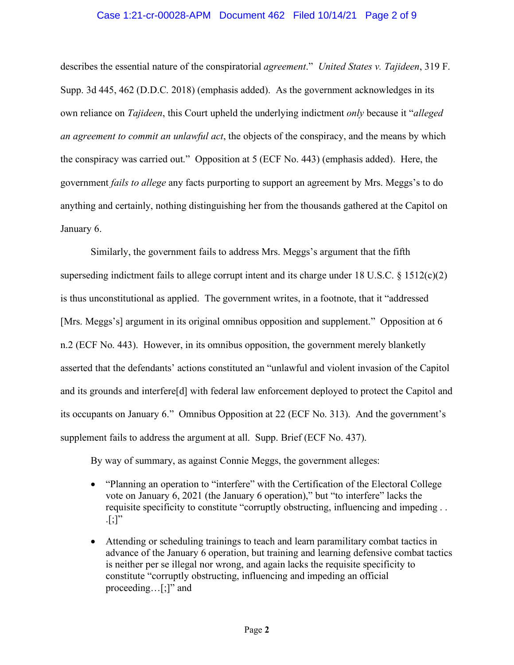#### Case 1:21-cr-00028-APM Document 462 Filed 10/14/21 Page 2 of 9

describes the essential nature of the conspiratorial *agreement*." *United States v. Tajideen*, 319 F. Supp. 3d 445, 462 (D.D.C. 2018) (emphasis added). As the government acknowledges in its own reliance on *Tajideen*, this Court upheld the underlying indictment *only* because it "*alleged an agreement to commit an unlawful act*, the objects of the conspiracy, and the means by which the conspiracy was carried out." Opposition at 5 (ECF No. 443) (emphasis added). Here, the government *fails to allege* any facts purporting to support an agreement by Mrs. Meggs's to do anything and certainly, nothing distinguishing her from the thousands gathered at the Capitol on January 6.

Similarly, the government fails to address Mrs. Meggs's argument that the fifth superseding indictment fails to allege corrupt intent and its charge under 18 U.S.C. § 1512(c)(2) is thus unconstitutional as applied. The government writes, in a footnote, that it "addressed [Mrs. Meggs's] argument in its original omnibus opposition and supplement." Opposition at 6 n.2 (ECF No. 443). However, in its omnibus opposition, the government merely blanketly asserted that the defendants' actions constituted an "unlawful and violent invasion of the Capitol and its grounds and interfere[d] with federal law enforcement deployed to protect the Capitol and its occupants on January 6." Omnibus Opposition at 22 (ECF No. 313). And the government's supplement fails to address the argument at all. Supp. Brief (ECF No. 437).

By way of summary, as against Connie Meggs, the government alleges:

- "Planning an operation to "interfere" with the Certification of the Electoral College vote on January 6, 2021 (the January 6 operation)," but "to interfere" lacks the requisite specificity to constitute "corruptly obstructing, influencing and impeding . .  $\lbrack$ :]"
- Attending or scheduling trainings to teach and learn paramilitary combat tactics in advance of the January 6 operation, but training and learning defensive combat tactics is neither per se illegal nor wrong, and again lacks the requisite specificity to constitute "corruptly obstructing, influencing and impeding an official proceeding…[;]" and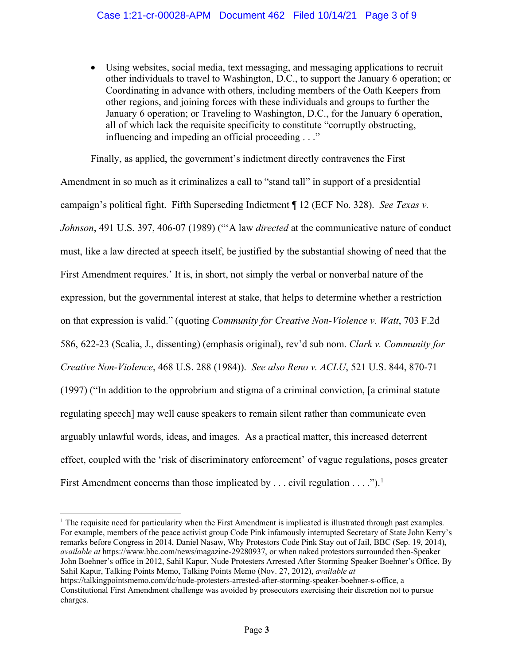• Using websites, social media, text messaging, and messaging applications to recruit other individuals to travel to Washington, D.C., to support the January 6 operation; or Coordinating in advance with others, including members of the Oath Keepers from other regions, and joining forces with these individuals and groups to further the January 6 operation; or Traveling to Washington, D.C., for the January 6 operation, all of which lack the requisite specificity to constitute "corruptly obstructing, influencing and impeding an official proceeding . . ."

Finally, as applied, the government's indictment directly contravenes the First Amendment in so much as it criminalizes a call to "stand tall" in support of a presidential campaign's political fight. Fifth Superseding Indictment ¶ 12 (ECF No. 328). *See Texas v. Johnson*, 491 U.S. 397, 406-07 (1989) ("'A law *directed* at the communicative nature of conduct must, like a law directed at speech itself, be justified by the substantial showing of need that the First Amendment requires.' It is, in short, not simply the verbal or nonverbal nature of the expression, but the governmental interest at stake, that helps to determine whether a restriction on that expression is valid." (quoting *Community for Creative Non-Violence v. Watt*, 703 F.2d 586, 622-23 (Scalia, J., dissenting) (emphasis original), rev'd sub nom. *Clark v. Community for Creative Non-Violence*, 468 U.S. 288 (1984)). *See also Reno v. ACLU*, 521 U.S. 844, 870-71 (1997) ("In addition to the opprobrium and stigma of a criminal conviction, [a criminal statute regulating speech] may well cause speakers to remain silent rather than communicate even arguably unlawful words, ideas, and images. As a practical matter, this increased deterrent effect, coupled with the 'risk of discriminatory enforcement' of vague regulations, poses greater First Amendment concerns than those implicated by . . . civil regulation . . . .").<sup>1</sup>

 $<sup>1</sup>$  The requisite need for particularity when the First Amendment is implicated is illustrated through past examples.</sup> For example, members of the peace activist group Code Pink infamously interrupted Secretary of State John Kerry's remarks before Congress in 2014, Daniel Nasaw, Why Protestors Code Pink Stay out of Jail, BBC (Sep. 19, 2014), *available at* https://www.bbc.com/news/magazine-29280937, or when naked protestors surrounded then-Speaker John Boehner's office in 2012, Sahil Kapur, Nude Protesters Arrested After Storming Speaker Boehner's Office, By Sahil Kapur, Talking Points Memo, Talking Points Memo (Nov. 27, 2012), *available at* https://talkingpointsmemo.com/dc/nude-protesters-arrested-after-storming-speaker-boehner-s-office, a Constitutional First Amendment challenge was avoided by prosecutors exercising their discretion not to pursue charges.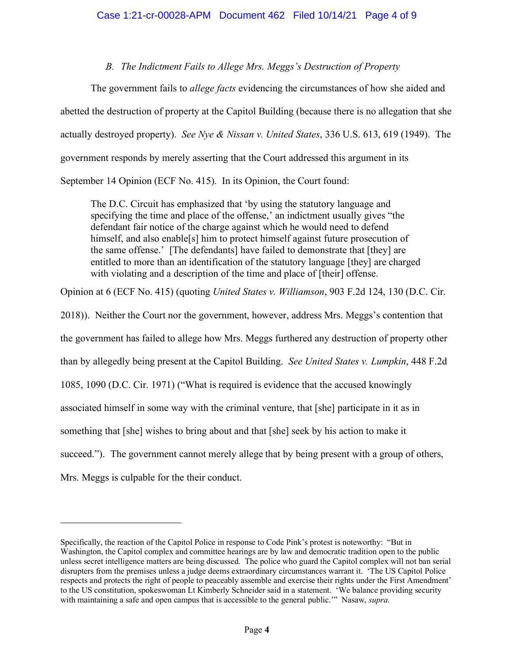*B. The Indictment Fails to Allege Mrs. Meggs's Destruction of Property*

The government fails to *allege facts* evidencing the circumstances of how she aided and abetted the destruction of property at the Capitol Building (because there is no allegation that she actually destroyed property). *See Nye & Nissan v. United States*, 336 U.S. 613, 619 (1949). The government responds by merely asserting that the Court addressed this argument in its September 14 Opinion (ECF No. 415). In its Opinion, the Court found:

The D.C. Circuit has emphasized that 'by using the statutory language and specifying the time and place of the offense,' an indictment usually gives "the defendant fair notice of the charge against which he would need to defend himself, and also enable<sup>[5]</sup> him to protect himself against future prosecution of the same offense.' [The defendants] have failed to demonstrate that [they] are entitled to more than an identification of the statutory language [they] are charged with violating and a description of the time and place of [their] offense.

Opinion at 6 (ECF No. 415) (quoting *United States v. Williamson*, 903 F.2d 124, 130 (D.C. Cir.

2018)). Neither the Court nor the government, however, address Mrs. Meggs's contention that the government has failed to allege how Mrs. Meggs furthered any destruction of property other than by allegedly being present at the Capitol Building. *See United States v. Lumpkin*, 448 F.2d 1085, 1090 (D.C. Cir. 1971) ("What is required is evidence that the accused knowingly associated himself in some way with the criminal venture, that [she] participate in it as in something that [she] wishes to bring about and that [she] seek by his action to make it succeed."). The government cannot merely allege that by being present with a group of others, Mrs. Meggs is culpable for the their conduct.

Specifically, the reaction of the Capitol Police in response to Code Pink's protest is noteworthy: "But in Washington, the Capitol complex and committee hearings are by law and democratic tradition open to the public unless secret intelligence matters are being discussed. The police who guard the Capitol complex will not ban serial disrupters from the premises unless a judge deems extraordinary circumstances warrant it. 'The US Capitol Police respects and protects the right of people to peaceably assemble and exercise their rights under the First Amendment' to the US constitution, spokeswoman Lt Kimberly Schneider said in a statement. 'We balance providing security with maintaining a safe and open campus that is accessible to the general public.'" Nasaw, *supra*.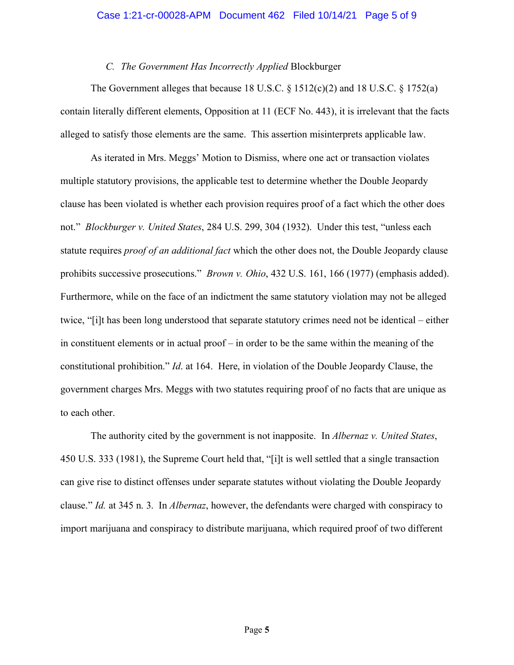#### *C. The Government Has Incorrectly Applied* Blockburger

The Government alleges that because 18 U.S.C.  $\frac{1512(c)(2)}{2}$  and 18 U.S.C.  $\frac{1752(a)}{2}$ contain literally different elements, Opposition at 11 (ECF No. 443), it is irrelevant that the facts alleged to satisfy those elements are the same. This assertion misinterprets applicable law.

As iterated in Mrs. Meggs' Motion to Dismiss, where one act or transaction violates multiple statutory provisions, the applicable test to determine whether the Double Jeopardy clause has been violated is whether each provision requires proof of a fact which the other does not." *Blockburger v. United States*, 284 U.S. 299, 304 (1932). Under this test, "unless each statute requires *proof of an additional fact* which the other does not, the Double Jeopardy clause prohibits successive prosecutions." *Brown v. Ohio*, 432 U.S. 161, 166 (1977) (emphasis added). Furthermore, while on the face of an indictment the same statutory violation may not be alleged twice, "[i]t has been long understood that separate statutory crimes need not be identical – either in constituent elements or in actual proof – in order to be the same within the meaning of the constitutional prohibition." *Id*. at 164. Here, in violation of the Double Jeopardy Clause, the government charges Mrs. Meggs with two statutes requiring proof of no facts that are unique as to each other.

The authority cited by the government is not inapposite. In *Albernaz v. United States*, 450 U.S. 333 (1981), the Supreme Court held that, "[i]t is well settled that a single transaction can give rise to distinct offenses under separate statutes without violating the Double Jeopardy clause." *Id.* at 345 n. 3. In *Albernaz*, however, the defendants were charged with conspiracy to import marijuana and conspiracy to distribute marijuana, which required proof of two different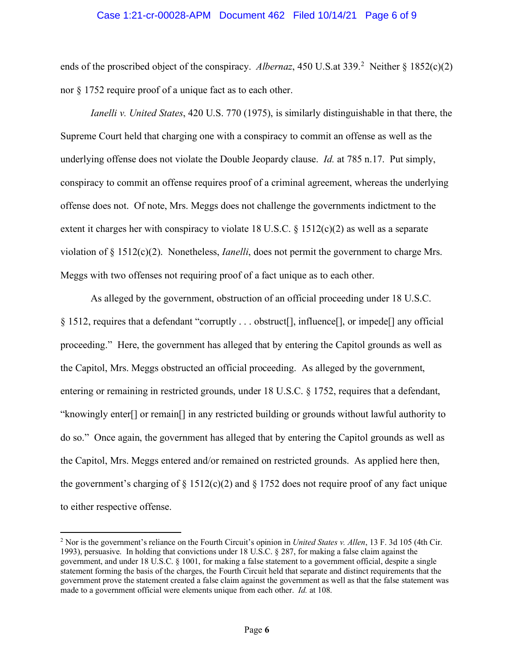#### Case 1:21-cr-00028-APM Document 462 Filed 10/14/21 Page 6 of 9

ends of the proscribed object of the conspiracy. Albernaz, 450 U.S.at 339.<sup>2</sup> Neither § 1852(c)(2) nor § 1752 require proof of a unique fact as to each other.

*Ianelli v. United States*, 420 U.S. 770 (1975), is similarly distinguishable in that there, the Supreme Court held that charging one with a conspiracy to commit an offense as well as the underlying offense does not violate the Double Jeopardy clause. *Id.* at 785 n.17. Put simply, conspiracy to commit an offense requires proof of a criminal agreement, whereas the underlying offense does not. Of note, Mrs. Meggs does not challenge the governments indictment to the extent it charges her with conspiracy to violate 18 U.S.C.  $\S 1512(c)(2)$  as well as a separate violation of § 1512(c)(2). Nonetheless, *Ianelli*, does not permit the government to charge Mrs. Meggs with two offenses not requiring proof of a fact unique as to each other.

As alleged by the government, obstruction of an official proceeding under 18 U.S.C. § 1512, requires that a defendant "corruptly . . . obstruct[], influence[], or impede[] any official proceeding." Here, the government has alleged that by entering the Capitol grounds as well as the Capitol, Mrs. Meggs obstructed an official proceeding. As alleged by the government, entering or remaining in restricted grounds, under 18 U.S.C. § 1752, requires that a defendant, "knowingly enter[] or remain[] in any restricted building or grounds without lawful authority to do so." Once again, the government has alleged that by entering the Capitol grounds as well as the Capitol, Mrs. Meggs entered and/or remained on restricted grounds. As applied here then, the government's charging of  $\S 1512(c)(2)$  and  $\S 1752$  does not require proof of any fact unique to either respective offense.

<sup>2</sup> Nor is the government's reliance on the Fourth Circuit's opinion in *United States v. Allen*, 13 F. 3d 105 (4th Cir. 1993), persuasive. In holding that convictions under 18 U.S.C. § 287, for making a false claim against the government, and under 18 U.S.C. § 1001, for making a false statement to a government official, despite a single statement forming the basis of the charges, the Fourth Circuit held that separate and distinct requirements that the government prove the statement created a false claim against the government as well as that the false statement was made to a government official were elements unique from each other. *Id.* at 108.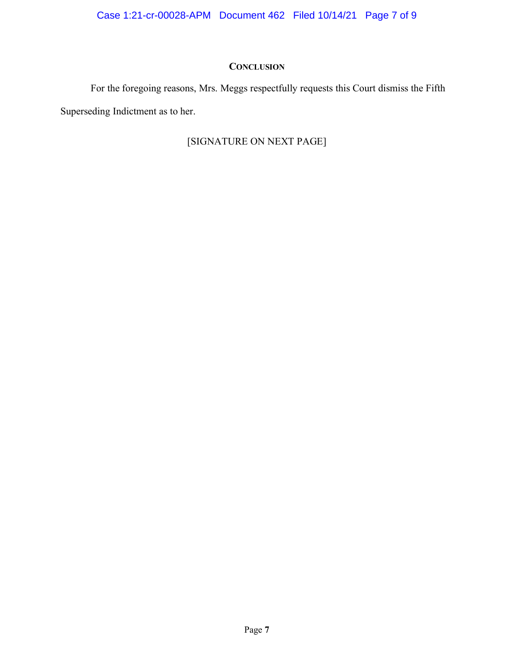# **CONCLUSION**

For the foregoing reasons, Mrs. Meggs respectfully requests this Court dismiss the Fifth Superseding Indictment as to her.

# [SIGNATURE ON NEXT PAGE]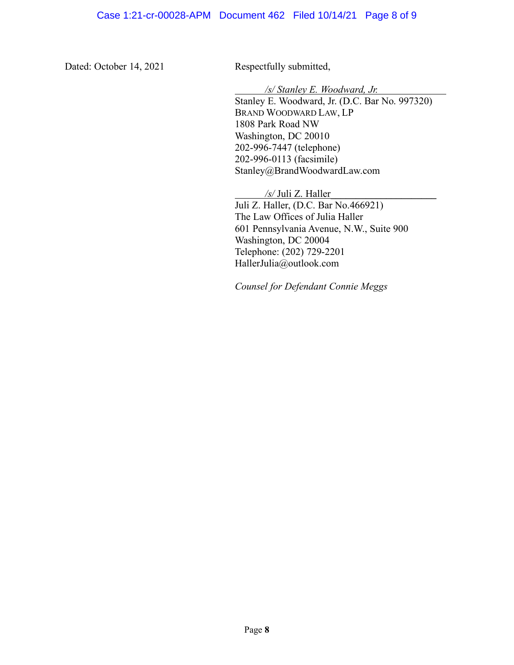Dated: October 14, 2021 Respectfully submitted,

*/s/ Stanley E. Woodward, Jr.*

Stanley E. Woodward, Jr. (D.C. Bar No. 997320) BRAND WOODWARD LAW, LP 1808 Park Road NW Washington, DC 20010 202-996-7447 (telephone) 202-996-0113 (facsimile) Stanley@BrandWoodwardLaw.com

*/s/* Juli Z. Haller**\_\_\_\_\_\_\_\_\_\_\_\_\_\_\_\_\_\_\_\_\_** Juli Z. Haller, (D.C. Bar No.466921) The Law Offices of Julia Haller 601 Pennsylvania Avenue, N.W., Suite 900 Washington, DC 20004 Telephone: (202) 729-2201 HallerJulia@outlook.com

*Counsel for Defendant Connie Meggs*